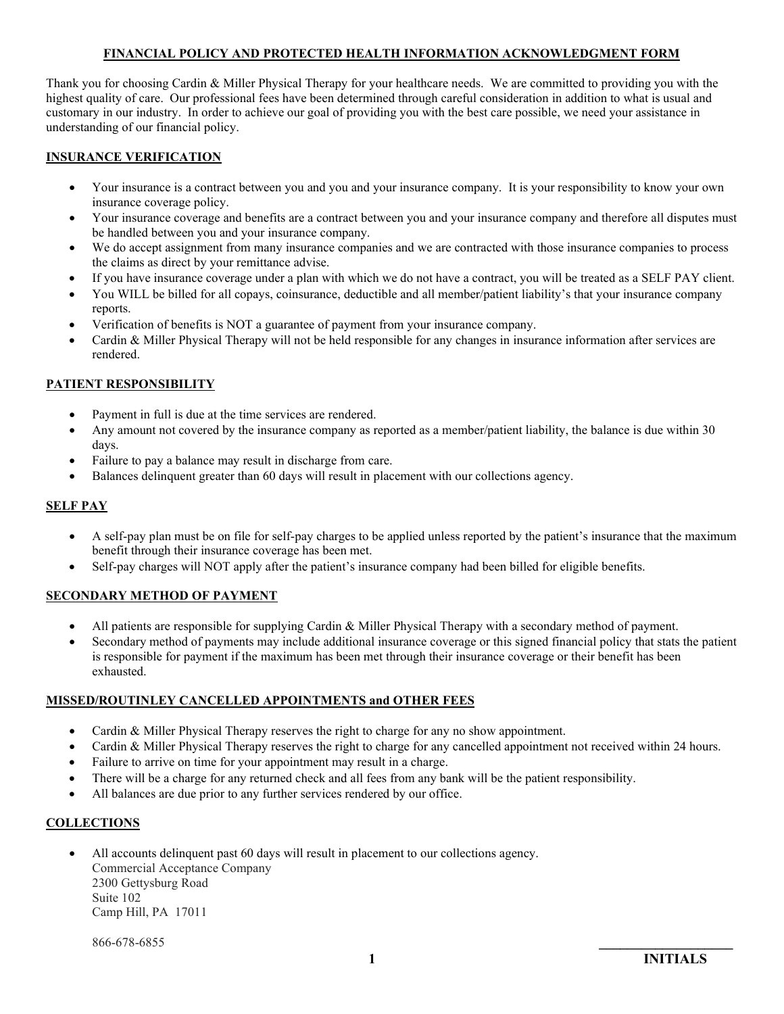# **FINANCIAL POLICY AND PROTECTED HEALTH INFORMATION ACKNOWLEDGMENT FORM**

Thank you for choosing Cardin & Miller Physical Therapy for your healthcare needs. We are committed to providing you with the highest quality of care. Our professional fees have been determined through careful consideration in addition to what is usual and customary in our industry. In order to achieve our goal of providing you with the best care possible, we need your assistance in understanding of our financial policy.

## **INSURANCE VERIFICATION**

- Your insurance is a contract between you and you and your insurance company. It is your responsibility to know your own insurance coverage policy.
- Your insurance coverage and benefits are a contract between you and your insurance company and therefore all disputes must be handled between you and your insurance company.
- We do accept assignment from many insurance companies and we are contracted with those insurance companies to process the claims as direct by your remittance advise.
- If you have insurance coverage under a plan with which we do not have a contract, you will be treated as a SELF PAY client.
- You WILL be billed for all copays, coinsurance, deductible and all member/patient liability's that your insurance company reports.
- Verification of benefits is NOT a guarantee of payment from your insurance company.
- Cardin & Miller Physical Therapy will not be held responsible for any changes in insurance information after services are rendered.

### **PATIENT RESPONSIBILITY**

- Payment in full is due at the time services are rendered.
- Any amount not covered by the insurance company as reported as a member/patient liability, the balance is due within 30 days.
- Failure to pay a balance may result in discharge from care.
- Balances delinquent greater than 60 days will result in placement with our collections agency.

### **SELF PAY**

- A self-pay plan must be on file for self-pay charges to be applied unless reported by the patient's insurance that the maximum benefit through their insurance coverage has been met.
- Self-pay charges will NOT apply after the patient's insurance company had been billed for eligible benefits.

# **SECONDARY METHOD OF PAYMENT**

- All patients are responsible for supplying Cardin & Miller Physical Therapy with a secondary method of payment.
- Secondary method of payments may include additional insurance coverage or this signed financial policy that stats the patient is responsible for payment if the maximum has been met through their insurance coverage or their benefit has been exhausted.

### **MISSED/ROUTINLEY CANCELLED APPOINTMENTS and OTHER FEES**

- Cardin & Miller Physical Therapy reserves the right to charge for any no show appointment.
- Cardin & Miller Physical Therapy reserves the right to charge for any cancelled appointment not received within 24 hours.
- Failure to arrive on time for your appointment may result in a charge.
- There will be a charge for any returned check and all fees from any bank will be the patient responsibility.
- All balances are due prior to any further services rendered by our office.

# **COLLECTIONS**

• All accounts delinquent past 60 days will result in placement to our collections agency. Commercial Acceptance Company 2300 Gettysburg Road Suite 102 Camp Hill, PA 17011

866-678-6855 **\_\_\_\_\_\_\_\_\_\_\_\_\_\_\_\_\_\_\_**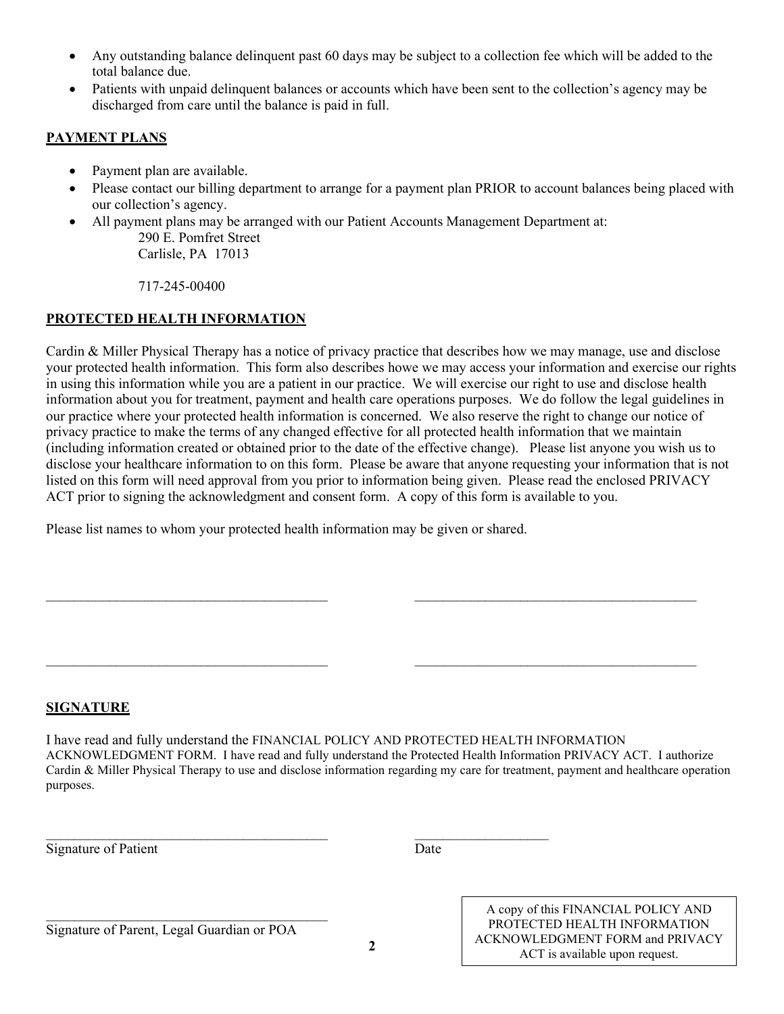- Any outstanding balance delinquent past 60 days may be subject to a collection fee which will be added to the total balance due.
- Patients with unpaid delinquent balances or accounts which have been sent to the collection's agency may be discharged from care until the balance is paid in full.

# **PAYMENT PLANS**

- Payment plan are available.
- Please contact our billing department to arrange for a payment plan PRIOR to account balances being placed with our collection's agency.
- All payment plans may be arranged with our Patient Accounts Management Department at: 290 E. Pomfret Street Carlisle, PA 17013

717-245-00400

# **PROTECTED HEALTH INFORMATION**

Cardin & Miller Physical Therapy has a notice of privacy practice that describes how we may manage, use and disclose your protected health information. This form also describes howe we may access your information and exercise our rights in using this information while you are a patient in our practice. We will exercise our right to use and disclose health information about you for treatment, payment and health care operations purposes. We do follow the legal guidelines in our practice where your protected health information is concerned. We also reserve the right to change our notice of privacy practice to make the terms of any changed effective for all protected health information that we maintain (including information created or obtained prior to the date of the effective change). Please list anyone you wish us to disclose your healthcare information to on this form. Please be aware that anyone requesting your information that is not listed on this form will need approval from you prior to information being given. Please read the enclosed PRIVACY ACT prior to signing the acknowledgment and consent form. A copy of this form is available to you.

Please list names to whom your protected health information may be given or shared.

\_\_\_\_\_\_\_\_\_\_\_\_\_\_\_\_\_\_\_\_\_\_\_\_\_\_\_\_\_\_\_\_\_\_\_\_\_\_\_\_ \_\_\_\_\_\_\_\_\_\_\_\_\_\_\_\_\_\_\_

# **SIGNATURE**

I have read and fully understand the FINANCIAL POLICY AND PROTECTED HEALTH INFORMATION ACKNOWLEDGMENT FORM. I have read and fully understand the Protected Health Information PRIVACY ACT. I authorize Cardin & Miller Physical Therapy to use and disclose information regarding my care for treatment, payment and healthcare operation purposes.

\_\_\_\_\_\_\_\_\_\_\_\_\_\_\_\_\_\_\_\_\_\_\_\_\_\_\_\_\_\_\_\_\_\_\_\_\_\_\_\_ \_\_\_\_\_\_\_\_\_\_\_\_\_\_\_\_\_\_\_\_\_\_\_\_\_\_\_\_\_\_\_\_\_\_\_\_\_\_\_\_

 $\_$ 

Signature of Patient Date

Signature of Parent, Legal Guardian or POA

 $\frac{1}{2}$  ,  $\frac{1}{2}$  ,  $\frac{1}{2}$  ,  $\frac{1}{2}$  ,  $\frac{1}{2}$  ,  $\frac{1}{2}$  ,  $\frac{1}{2}$  ,  $\frac{1}{2}$  ,  $\frac{1}{2}$  ,  $\frac{1}{2}$  ,  $\frac{1}{2}$  ,  $\frac{1}{2}$  ,  $\frac{1}{2}$  ,  $\frac{1}{2}$  ,  $\frac{1}{2}$  ,  $\frac{1}{2}$  ,  $\frac{1}{2}$  ,  $\frac{1}{2}$  ,  $\frac{1$ 

A copy of this FINANCIAL POLICY AND PROTECTED HEALTH INFORMATION ACKNOWLEDGMENT FORM and PRIVACY ACT is available upon request.